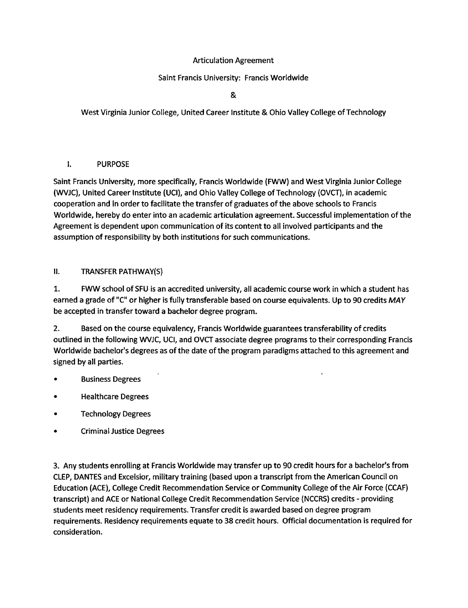### **Articulation Agreement**

## Saint Francis University: Francis Worldwide

&

West Virginia Junior College, United Career Institute & Ohio Valley College of Technology

#### I. **PURPOSE**

Saint Francis University, more specifically, Francis Worldwide (FWW) and West Virginia Junior College (WVJC), United Career Institute (UCI), and Ohio Valley College of Technology (OVCT), in academic cooperation and in order to facilitate the transfer of graduates of the above schools to Francis Worldwide, hereby do enter into an academic articulation agreement. Successful implementation of the Agreement is dependent upon communication of its content to all involved participants and the assumption of responsibility by both institutions for such communications.

#### H. **TRANSFER PATHWAY(S)**

 $1.$ FWW school of SFU is an accredited university, all academic course work in which a student has earned a grade of "C" or higher is fully transferable based on course equivalents. Up to 90 credits MAY be accepted in transfer toward a bachelor degree program.

 $2.$ Based on the course equivalency, Francis Worldwide guarantees transferability of credits outlined in the following WVJC, UCI, and OVCT associate degree programs to their corresponding Francis Worldwide bachelor's degrees as of the date of the program paradigms attached to this agreement and signed by all parties.

- **Business Degrees**
- **Healthcare Degrees**
- **Technology Degrees**
- **Criminal Justice Degrees**

3. Any students enrolling at Francis Worldwide may transfer up to 90 credit hours for a bachelor's from CLEP, DANTES and Excelsior, military training (based upon a transcript from the American Council on Education (ACE), College Credit Recommendation Service or Community College of the Air Force (CCAF) transcript) and ACE or National College Credit Recommendation Service (NCCRS) credits - providing students meet residency requirements. Transfer credit is awarded based on degree program requirements. Residency requirements equate to 38 credit hours. Official documentation is required for consideration.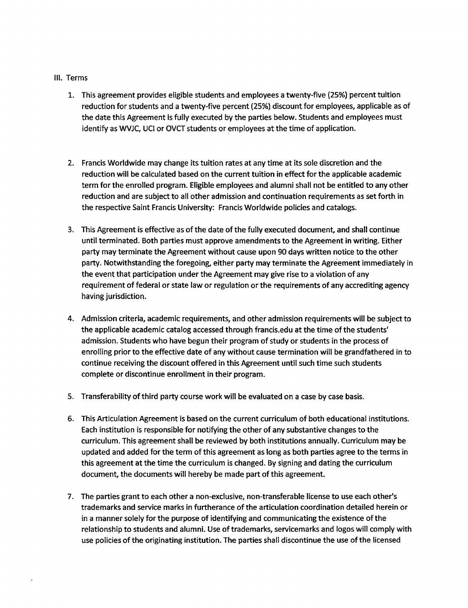#### III. Terms

- 1. This agreement provides eligible students and employees a twenty-five (25%) percent tuition reduction for students and a twenty-five percent (25%) discount for employees, applicable as of the date this Agreement is fully executed by the parties below. Students and employees must identify as WVJC, UCI or OVCT students or employees at the time of application.
- 2. Francis Worldwide may change its tuition rates at any time at its sole discretion and the reduction will be calculated based on the current tuition in effect for the applicable academic term for the enrolled program. Eligible employees and alumni shall not be entitled to any other reduction and are subject to all other admission and continuation requirements as set forth in the respective Saint Francis University: Francis Worldwide policies and catalogs.
- 3. This Agreement is effective as of the date of the fully executed document, and shall continue until terminated. Both parties must approve amendments to the Agreement in writing. Either party may terminate the Agreement without cause upon 90 days written notice to the other party. Notwithstanding the foregoing, either party may terminate the Agreement immediately in the event that participation under the Agreement may give rise to a violation of any requirement of federal or state law or regulation or the requirements of any accrediting agency having jurisdiction.
- 4. Admission criteria, academic requirements, and other admission requirements will be subject to the applicable academic catalog accessed through francis.edu at the time of the students' admission. Students who have begun their program of study or students in the process of enrolling prior to the effective date of any without cause termination will be grandfathered in to continue receiving the discount offered in this Agreement until such time such students complete or discontinue enrollment in their program.
- 5. Transferability of third party course work will be evaluated on a case by case basis.
- 6. This Articulation Agreement is based on the current curriculum of both educational institutions. Each institution is responsible for notifying the other of any substantive changes to the curriculum. This agreement shall be reviewed by both institutions annually. Curriculum may be updated and added for the term of this agreement as long as both parties agree to the terms in this agreement at the time the curriculum is changed. By signing and dating the curriculum document, the documents will hereby be made part of this agreement.
- 7. The parties grant to each other a non-exclusive, non-transferable license to use each other's trademarks and service marks in furtherance of the articulation coordination detailed herein or in a manner solely for the purpose of identifying and communicating the existence of the relationship to students and alumni. Use of trademarks, servicemarks and logos will comply with use policies of the originating institution. The parties shall discontinue the use of the licensed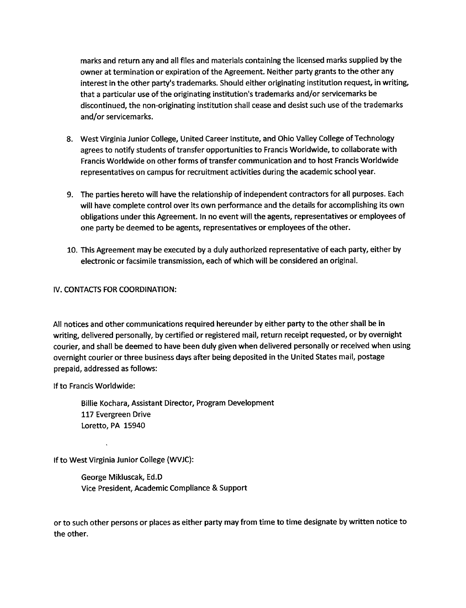marks and return any and all files and materials containing the licensed marks supplied by the owner at termination or expiration of the Agreement. Neither party grants to the other any interest in the other party's trademarks. Should either originating institution request, in writing, that a particular use of the originating institution's trademarks and/or servicemarks be discontinued, the non-originating institution shall cease and desist such use of the trademarks and/or servicemarks.

- 8. West Virginia Junior College, United Career Institute, and Ohio Valley College of Technology agrees to notify students of transfer opportunities to Francis Worldwide, to collaborate with Francis Worldwide on other forms of transfer communication and to host Francis Worldwide representatives on campus for recruitment activities during the academic school year.
- 9. The parties hereto will have the relationship of independent contractors for all purposes. Each will have complete control over its own performance and the details for accomplishing its own obligations under this Agreement. In no event will the agents, representatives or employees of one party be deemed to be agents, representatives or employees of the other.
- 10. This Agreement may be executed by a duly authorized representative of each party, either by electronic or facsimile transmission, each of which will be considered an original.

#### IV. CONTACTS FOR COORDINATION:

All notices and other communications required hereunder by either party to the other shall be in writing, delivered personally, by certified or registered mail, return receipt requested, or by overnight courier, and shall be deemed to have been duly given when delivered personally or received when using overnight courier or three business days after being deposited in the United States mail, postage prepaid, addressed as follows:

If to Francis Worldwide:

Billie Kochara, Assistant Director, Program Development 117 Evergreen Drive Loretto, PA 15940

If to West Virginia Junior College (WVJC):

George Mikluscak, Ed.D Vice President, Academic Compliance & Support

or to such other persons or places as either party may from time to time designate by written notice to the other.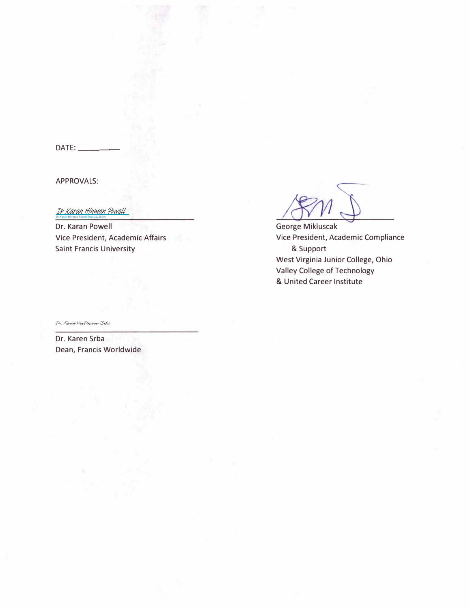$DATE:$ 

APPROVALS:

Dr Karan Hinman Powell (Apr 16, 2020)

[Dr Karan Hinman Powell](https://na2.documents.adobe.com/verifier?tx=CBJCHBCAABAAvUbIvicmoC4SKa-k2R7Dph9Dslr3GoOB)

Dr. Karan Powell Vice President, Academic Affairs Saint Francis University

George **Mikluscak** Vice President, Academic Compliance & Support West Virginia Junior College, Ohio Valley College of Technology & United Career Institute

Dr. Karen VenDouern-Srba

Dr. Karen Srba Dean, Francis Worldwide